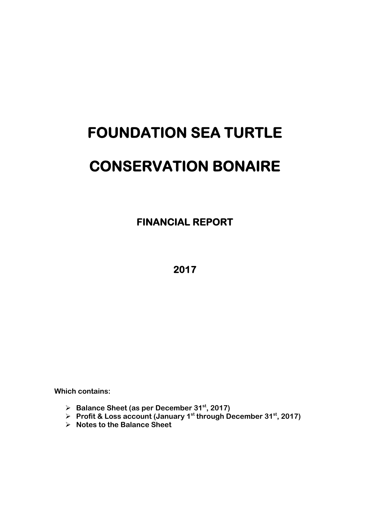# **FOUNDATION SEA TURTLE CONSERVATION BONAIRE**

 **FINANCIAL REPORT** 

**2017** 

**Which contains:** 

- **Balance Sheet (as per December 31st, 2017)**
- **Profit & Loss account (January 1st through December 31st, 2017)**
- **Notes to the Balance Sheet**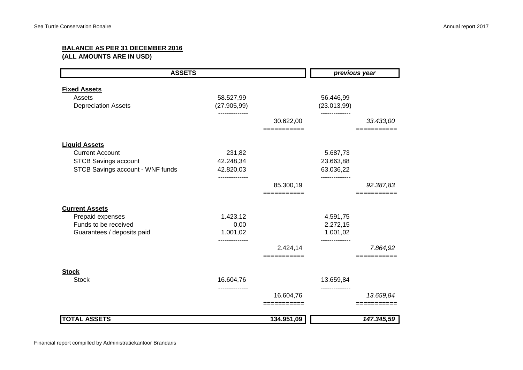## **BALANCE AS PER 31 DECEMBER 2016**

**(ALL AMOUNTS ARE IN USD)**

| <b>ASSETS</b>                    |              | previous year |               |            |
|----------------------------------|--------------|---------------|---------------|------------|
| <b>Fixed Assets</b>              |              |               |               |            |
| Assets                           | 58.527,99    |               | 56.446,99     |            |
| <b>Depreciation Assets</b>       | (27.905, 99) |               | (23.013,99)   |            |
|                                  |              | 30.622,00     |               | 33.433,00  |
|                                  |              | ===========   |               |            |
| <b>Liquid Assets</b>             |              |               |               |            |
| <b>Current Account</b>           | 231,82       |               | 5.687,73      |            |
| <b>STCB Savings account</b>      | 42.248,34    |               | 23.663,88     |            |
| STCB Savings account - WNF funds | 42.820,03    |               | 63.036,22     |            |
|                                  |              | 85.300,19     | ------------- | 92.387,83  |
|                                  |              | ----------    |               |            |
| <b>Current Assets</b>            |              |               |               |            |
| Prepaid expenses                 | 1.423,12     |               | 4.591,75      |            |
| Funds to be received             | 0,00         |               | 2.272,15      |            |
| Guarantees / deposits paid       | 1.001,02     |               | 1.001,02      |            |
|                                  |              | 2.424,14      |               | 7.864,92   |
|                                  |              |               |               |            |
| <b>Stock</b>                     |              |               |               |            |
| <b>Stock</b>                     | 16.604,76    |               | 13.659,84     |            |
|                                  |              | 16.604,76     |               | 13.659,84  |
|                                  |              | =========     |               |            |
| <b>TOTAL ASSETS</b>              |              | 134.951,09    |               | 147.345,59 |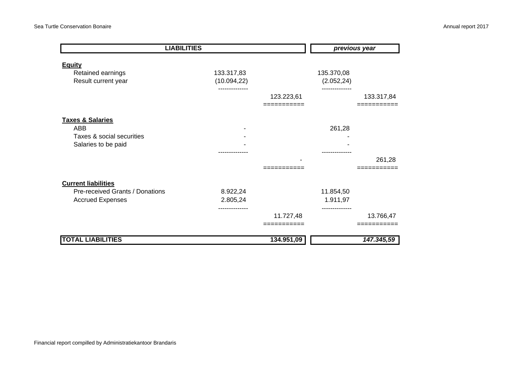| <b>LIABILITIES</b>              |              |            | previous year |            |
|---------------------------------|--------------|------------|---------------|------------|
| <b>Equity</b>                   |              |            |               |            |
| Retained earnings               | 133.317,83   |            | 135.370,08    |            |
| Result current year             | (10.094, 22) |            | (2.052, 24)   |            |
|                                 |              |            |               |            |
|                                 |              | 123.223,61 |               | 133.317,84 |
|                                 |              |            |               |            |
| <b>Taxes &amp; Salaries</b>     |              |            |               |            |
| ABB                             |              |            | 261,28        |            |
| Taxes & social securities       |              |            |               |            |
| Salaries to be paid             |              |            |               |            |
|                                 |              |            |               |            |
|                                 |              |            |               | 261,28     |
|                                 |              |            |               |            |
| <b>Current liabilities</b>      |              |            |               |            |
| Pre-received Grants / Donations | 8.922,24     |            | 11.854,50     |            |
| <b>Accrued Expenses</b>         | 2.805,24     |            | 1.911,97      |            |
|                                 |              |            |               |            |
|                                 |              | 11.727,48  |               | 13.766,47  |
|                                 |              | =========  |               | =======    |
| <b>TOTAL LIABILITIES</b>        |              | 134.951,09 |               | 147.345,59 |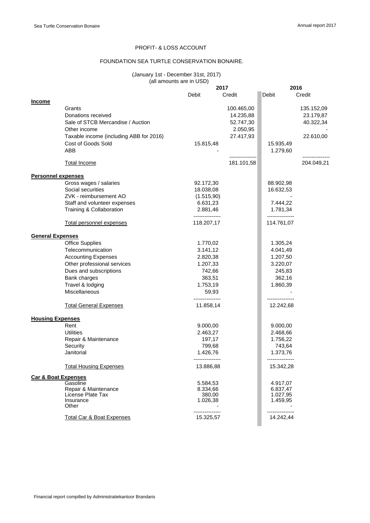## PROFIT- & LOSS ACCOUNT

### FOUNDATION SEA TURTLE CONSERVATION BONAIRE.

#### (January 1st - December 31st, 2017) (all amounts are in USD)

|                                |                                         |                               | 2017       | 2016                          |            |
|--------------------------------|-----------------------------------------|-------------------------------|------------|-------------------------------|------------|
|                                |                                         | Debit                         | Credit     | Debit                         | Credit     |
| <b>Income</b>                  |                                         |                               |            |                               |            |
|                                | Grants                                  |                               | 100.465,00 |                               | 135.152,09 |
|                                | Donations received                      |                               | 14.235,88  |                               | 23.179,87  |
|                                | Sale of STCB Mercandise / Auction       |                               | 52.747,30  |                               | 40.322,34  |
|                                | Other income                            |                               | 2.050,95   |                               |            |
|                                | Taxable income (including ABB for 2016) |                               | 27.417,93  |                               | 22.610,00  |
|                                | Cost of Goods Sold                      | 15.815,48                     |            | 15.935,49                     |            |
|                                | ABB                                     |                               |            | 1.279,60                      |            |
|                                | <b>Total Income</b>                     |                               | 181.101,58 |                               | 204.049,21 |
| <b>Personnel expenses</b>      |                                         |                               |            |                               |            |
|                                | Gross wages / salaries                  | 92.172,30                     |            | 88.902,98                     |            |
|                                | Social securities                       | 18.038,08                     |            | 16.632,53                     |            |
|                                | ZVK - reimbursement AO                  | (1.515, 90)                   |            |                               |            |
|                                | Staff and volunteer expenses            | 6.631,23                      |            | 7.444,22                      |            |
|                                | Training & Collaboration                | 2.881,46                      |            | 1.781,34                      |            |
|                                | Total personnel expenses                | ---------------<br>118.207,17 |            | ---------------<br>114.761,07 |            |
|                                |                                         |                               |            |                               |            |
| <b>General Expenses</b>        |                                         |                               |            |                               |            |
|                                | <b>Office Supplies</b>                  | 1.770,02                      |            | 1.305,24                      |            |
|                                | Telecommunication                       | 3.141,12                      |            | 4.041,49                      |            |
|                                | <b>Accounting Expenses</b>              | 2.820,38                      |            | 1.207,50                      |            |
|                                | Other professional services             | 1.207,33                      |            | 3.220,07                      |            |
|                                | Dues and subscriptions                  | 742,66                        |            | 245,83                        |            |
|                                | Bank charges                            | 363,51                        |            | 362,16                        |            |
|                                | Travel & lodging                        | 1.753,19                      |            | 1.860,39                      |            |
|                                | <b>Miscellaneous</b>                    | 59,93                         |            |                               |            |
|                                | <b>Total General Expenses</b>           | ---------------<br>11.858,14  |            | 12.242,68                     |            |
| <b>Housing Expenses</b>        |                                         |                               |            |                               |            |
|                                | Rent                                    | 9.000,00                      |            | 9.000,00                      |            |
|                                | <b>Utilities</b>                        | 2.463,27                      |            | 2.468,66                      |            |
|                                | Repair & Maintenance                    | 197,17                        |            | 1.756,22                      |            |
|                                | Security                                | 799,68                        |            | 743,64                        |            |
|                                | Janitorial                              | 1.426,76                      |            | 1.373,76                      |            |
|                                | <b>Total Housing Expenses</b>           | ---------------<br>13.886,88  |            | ---------------<br>15.342,28  |            |
| <b>Car &amp; Boat Expenses</b> |                                         |                               |            |                               |            |
|                                | Gasoline                                | 5.584,53                      |            | 4.917,07                      |            |
|                                | Repair & Maintenance                    | 8.334,66                      |            | 6.837,47                      |            |
|                                | License Plate Tax                       | 380,00                        |            | 1.027,95                      |            |
|                                | Insurance<br>Other                      | 1.026,38                      |            | 1.459,95                      |            |
|                                |                                         |                               |            |                               |            |
|                                | <b>Total Car &amp; Boat Expenses</b>    | 15.325,57                     |            | 14.242,44                     |            |
|                                |                                         |                               |            |                               |            |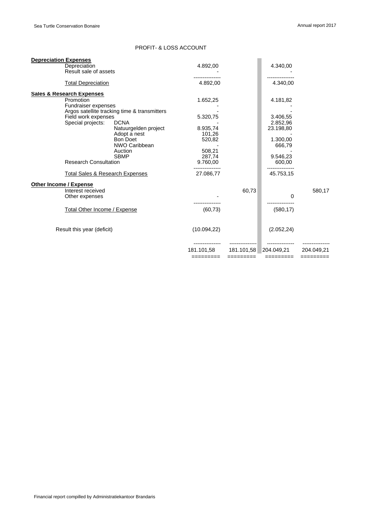## PROFIT- & LOSS ACCOUNT

| <b>Depreciation Expenses</b>               |                                              |              |            |             |            |
|--------------------------------------------|----------------------------------------------|--------------|------------|-------------|------------|
| Depreciation                               |                                              |              |            | 4.340,00    |            |
| Result sale of assets                      |                                              |              |            |             |            |
| <b>Total Depreciation</b>                  |                                              | 4.892,00     |            | 4.340,00    |            |
| <b>Sales &amp; Research Expenses</b>       |                                              |              |            |             |            |
| Promotion                                  |                                              | 1.652,25     |            | 4.181,82    |            |
| Fundraiser expenses                        |                                              |              |            |             |            |
|                                            | Argos satellite tracking time & transmitters |              |            |             |            |
| Field work expenses                        |                                              | 5.320,75     |            | 3.406.55    |            |
| Special projects:                          | <b>DCNA</b>                                  |              |            | 2.852,96    |            |
|                                            | Natuurgelden project                         | 8.935,74     |            | 23.198,80   |            |
|                                            | Adopt a nest                                 | 101,26       |            |             |            |
|                                            | <b>Bon Doet</b>                              | 520,82       |            | 1.300,00    |            |
|                                            | NWO Caribbean                                |              |            | 666,79      |            |
|                                            | Auction                                      | 508,21       |            |             |            |
|                                            | <b>SBMP</b>                                  | 287,74       |            | 9.546.23    |            |
| <b>Research Consultation</b>               |                                              | 9.760,00     |            | 600,00      |            |
| <b>Total Sales &amp; Research Expenses</b> |                                              | 27.086,77    |            | 45.753,15   |            |
| <b>Other Income / Expense</b>              |                                              |              |            |             |            |
| Interest received                          |                                              |              | 60,73      |             | 580,17     |
| Other expenses                             |                                              |              |            | 0           |            |
|                                            |                                              |              |            |             |            |
| <b>Total Other Income / Expense</b>        |                                              | (60, 73)     |            | (580, 17)   |            |
| Result this year (deficit)                 |                                              | (10.094, 22) |            | (2.052, 24) |            |
|                                            |                                              |              |            |             |            |
|                                            |                                              | 181.101.58   | 181.101.58 | 204.049.21  | 204.049.21 |
|                                            |                                              | =========    | =========  | =========   | =========  |